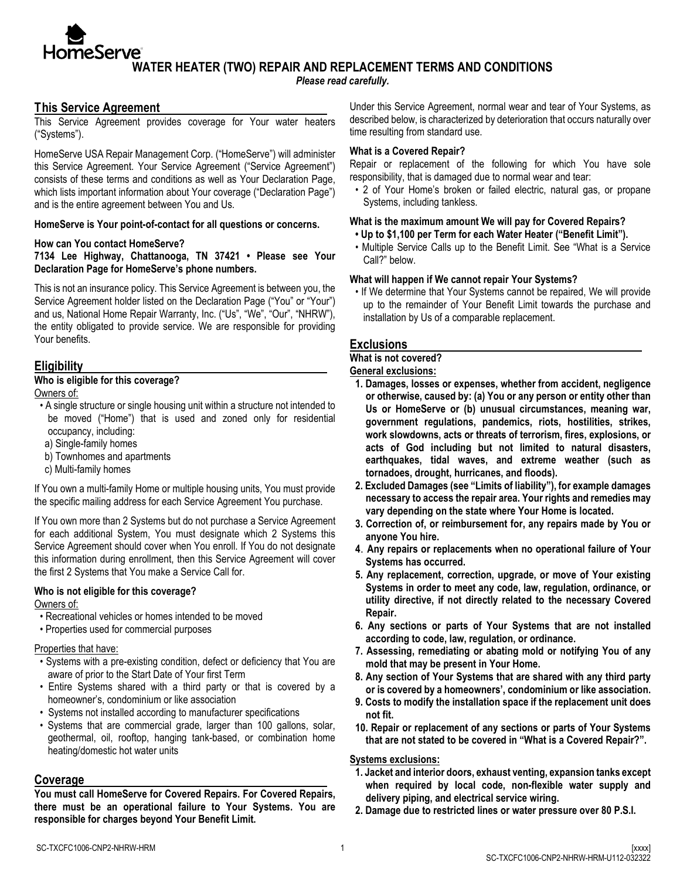**WATER HEATER (TWO) REPAIR AND REPLACEMENT TERMS AND CONDITIONS**

*Please read carefully.*

## **This Service Agreement**

**HomeServe**®

This Service Agreement provides coverage for Your water heaters ("Systems").

HomeServe USA Repair Management Corp. ("HomeServe") will administer this Service Agreement. Your Service Agreement ("Service Agreement") consists of these terms and conditions as well as Your Declaration Page, which lists important information about Your coverage ("Declaration Page") and is the entire agreement between You and Us.

#### **HomeServe is Your point-of-contact for all questions or concerns.**

#### **How can You contact HomeServe?**

**7134 Lee Highway, Chattanooga, TN 37421 • Please see Your Declaration Page for HomeServe's phone numbers.** 

This is not an insurance policy. This Service Agreement is between you, the Service Agreement holder listed on the Declaration Page ("You" or "Your") and us, National Home Repair Warranty, Inc. ("Us", "We", "Our", "NHRW"), the entity obligated to provide service. We are responsible for providing Your benefits.

## **Eligibility**

### **Who is eligible for this coverage?**

Owners of:

- A single structure or single housing unit within a structure not intended to be moved ("Home") that is used and zoned only for residential occupancy, including:
- a) Single-family homes
- b) Townhomes and apartments
- c) Multi-family homes

If You own a multi-family Home or multiple housing units, You must provide the specific mailing address for each Service Agreement You purchase.

If You own more than 2 Systems but do not purchase a Service Agreement for each additional System, You must designate which 2 Systems this Service Agreement should cover when You enroll. If You do not designate this information during enrollment, then this Service Agreement will cover the first 2 Systems that You make a Service Call for.

### **Who is not eligible for this coverage?**

Owners of:

- Recreational vehicles or homes intended to be moved
- Properties used for commercial purposes

#### Properties that have:

- Systems with a pre-existing condition, defect or deficiency that You are aware of prior to the Start Date of Your first Term
- Entire Systems shared with a third party or that is covered by a homeowner's, condominium or like association
- Systems not installed according to manufacturer specifications
- Systems that are commercial grade, larger than 100 gallons, solar, geothermal, oil, rooftop, hanging tank-based, or combination home heating/domestic hot water units

## **Coverage**

**You must call HomeServe for Covered Repairs. For Covered Repairs, there must be an operational failure to Your Systems. You are responsible for charges beyond Your Benefit Limit.** 

Under this Service Agreement, normal wear and tear of Your Systems, as described below, is characterized by deterioration that occurs naturally over time resulting from standard use.

### **What is a Covered Repair?**

Repair or replacement of the following for which You have sole responsibility, that is damaged due to normal wear and tear:

• 2 of Your Home's broken or failed electric, natural gas, or propane Systems, including tankless.

## **What is the maximum amount We will pay for Covered Repairs?**

- **• Up to \$1,100 per Term for each Water Heater ("Benefit Limit").**
- Multiple Service Calls up to the Benefit Limit. See "What is a Service Call?" below.

#### **What will happen if We cannot repair Your Systems?**

• If We determine that Your Systems cannot be repaired, We will provide up to the remainder of Your Benefit Limit towards the purchase and installation by Us of a comparable replacement.

## **Exclusions**

#### **What is not covered?**

**General exclusions:**

- **1. Damages, losses or expenses, whether from accident, negligence or otherwise, caused by: (a) You or any person or entity other than Us or HomeServe or (b) unusual circumstances, meaning war, government regulations, pandemics, riots, hostilities, strikes, work slowdowns, acts or threats of terrorism, fires, explosions, or acts of God including but not limited to natural disasters, earthquakes, tidal waves, and extreme weather (such as tornadoes, drought, hurricanes, and floods).**
- **2. Excluded Damages (see "Limits of liability"), for example damages necessary to access the repair area. Your rights and remedies may vary depending on the state where Your Home is located.**
- **3. Correction of, or reimbursement for, any repairs made by You or anyone You hire.**
- **4**. **Any repairs or replacements when no operational failure of Your Systems has occurred.**
- **5. Any replacement, correction, upgrade, or move of Your existing Systems in order to meet any code, law, regulation, ordinance, or utility directive, if not directly related to the necessary Covered Repair.**
- **6. Any sections or parts of Your Systems that are not installed according to code, law, regulation, or ordinance.**
- **7. Assessing, remediating or abating mold or notifying You of any mold that may be present in Your Home.**
- **8. Any section of Your Systems that are shared with any third party or is covered by a homeowners', condominium or like association.**
- **9. Costs to modify the installation space if the replacement unit does not fit.**
- **10. Repair or replacement of any sections or parts of Your Systems that are not stated to be covered in "What is a Covered Repair?".**

## **Systems exclusions:**

- **1. Jacket and interior doors, exhaust venting, expansion tanks except when required by local code, non-flexible water supply and delivery piping, and electrical service wiring.**
- **2. Damage due to restricted lines or water pressure over 80 P.S.I.**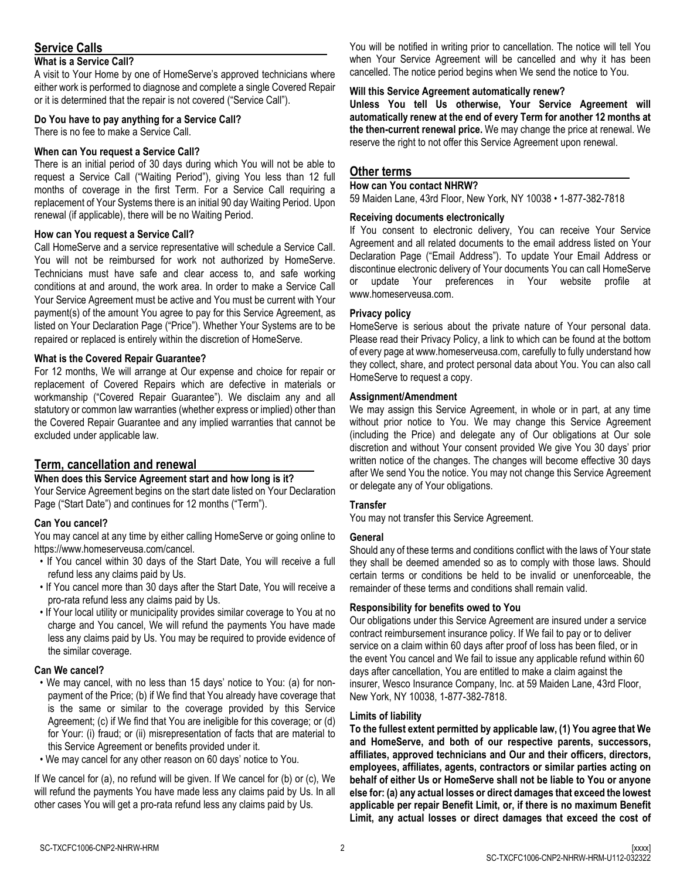# **Service Calls**

## **What is a Service Call?**

A visit to Your Home by one of HomeServe's approved technicians where either work is performed to diagnose and complete a single Covered Repair or it is determined that the repair is not covered ("Service Call").

## **Do You have to pay anything for a Service Call?**

There is no fee to make a Service Call.

## **When can You request a Service Call?**

There is an initial period of 30 days during which You will not be able to request a Service Call ("Waiting Period"), giving You less than 12 full months of coverage in the first Term. For a Service Call requiring a replacement of Your Systems there is an initial 90 day Waiting Period. Upon renewal (if applicable), there will be no Waiting Period.

## **How can You request a Service Call?**

Call HomeServe and a service representative will schedule a Service Call. You will not be reimbursed for work not authorized by HomeServe. Technicians must have safe and clear access to, and safe working conditions at and around, the work area. In order to make a Service Call Your Service Agreement must be active and You must be current with Your payment(s) of the amount You agree to pay for this Service Agreement, as listed on Your Declaration Page ("Price"). Whether Your Systems are to be repaired or replaced is entirely within the discretion of HomeServe.

## **What is the Covered Repair Guarantee?**

For 12 months, We will arrange at Our expense and choice for repair or replacement of Covered Repairs which are defective in materials or workmanship ("Covered Repair Guarantee"). We disclaim any and all statutory or common law warranties (whether express or implied) other than the Covered Repair Guarantee and any implied warranties that cannot be excluded under applicable law.

## **Term, cancellation and renewal**

### **When does this Service Agreement start and how long is it?**

Your Service Agreement begins on the start date listed on Your Declaration Page ("Start Date") and continues for 12 months ("Term").

## **Can You cancel?**

You may cancel at any time by either calling HomeServe or going online to https://www.homeserveusa.com/cancel.

- If You cancel within 30 days of the Start Date, You will receive a full refund less any claims paid by Us.
- If You cancel more than 30 days after the Start Date, You will receive a pro-rata refund less any claims paid by Us.
- If Your local utility or municipality provides similar coverage to You at no charge and You cancel, We will refund the payments You have made less any claims paid by Us. You may be required to provide evidence of the similar coverage.

### **Can We cancel?**

- We may cancel, with no less than 15 days' notice to You: (a) for nonpayment of the Price; (b) if We find that You already have coverage that is the same or similar to the coverage provided by this Service Agreement; (c) if We find that You are ineligible for this coverage; or (d) for Your: (i) fraud; or (ii) misrepresentation of facts that are material to this Service Agreement or benefits provided under it.
- We may cancel for any other reason on 60 days' notice to You.

If We cancel for (a), no refund will be given. If We cancel for (b) or (c), We will refund the payments You have made less any claims paid by Us. In all other cases You will get a pro-rata refund less any claims paid by Us.

You will be notified in writing prior to cancellation. The notice will tell You when Your Service Agreement will be cancelled and why it has been cancelled. The notice period begins when We send the notice to You.

## **Will this Service Agreement automatically renew?**

**Unless You tell Us otherwise, Your Service Agreement will automatically renew at the end of every Term for another 12 months at the then-current renewal price.** We may change the price at renewal. We reserve the right to not offer this Service Agreement upon renewal.

## **Other terms**

#### **How can You contact NHRW?**

59 Maiden Lane, 43rd Floor, New York, NY 10038 • 1-877-382-7818

## **Receiving documents electronically**

If You consent to electronic delivery, You can receive Your Service Agreement and all related documents to the email address listed on Your Declaration Page ("Email Address"). To update Your Email Address or discontinue electronic delivery of Your documents You can call HomeServe or update Your preferences in Your website profile at www.homeserveusa.com.

## **Privacy policy**

HomeServe is serious about the private nature of Your personal data. Please read their Privacy Policy, a link to which can be found at the bottom of every page at www.homeserveusa.com, carefully to fully understand how they collect, share, and protect personal data about You. You can also call HomeServe to request a copy.

#### **Assignment/Amendment**

We may assign this Service Agreement, in whole or in part, at any time without prior notice to You. We may change this Service Agreement (including the Price) and delegate any of Our obligations at Our sole discretion and without Your consent provided We give You 30 days' prior written notice of the changes. The changes will become effective 30 days after We send You the notice. You may not change this Service Agreement or delegate any of Your obligations.

### **Transfer**

You may not transfer this Service Agreement.

### **General**

Should any of these terms and conditions conflict with the laws of Your state they shall be deemed amended so as to comply with those laws. Should certain terms or conditions be held to be invalid or unenforceable, the remainder of these terms and conditions shall remain valid.

### **Responsibility for benefits owed to You**

Our obligations under this Service Agreement are insured under a service contract reimbursement insurance policy. If We fail to pay or to deliver service on a claim within 60 days after proof of loss has been filed, or in the event You cancel and We fail to issue any applicable refund within 60 days after cancellation, You are entitled to make a claim against the insurer, Wesco Insurance Company, Inc. at 59 Maiden Lane, 43rd Floor, New York, NY 10038, 1-877-382-7818.

### **Limits of liability**

**To the fullest extent permitted by applicable law, (1) You agree that We and HomeServe, and both of our respective parents, successors, affiliates, approved technicians and Our and their officers, directors, employees, affiliates, agents, contractors or similar parties acting on behalf of either Us or HomeServe shall not be liable to You or anyone else for: (a) any actual losses or direct damages that exceed the lowest applicable per repair Benefit Limit, or, if there is no maximum Benefit Limit, any actual losses or direct damages that exceed the cost of**